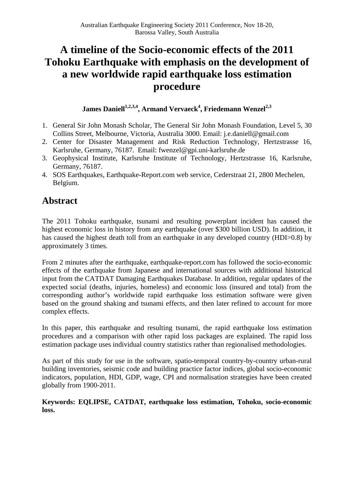# **A timeline of the Socio-economic effects of the 2011 Tohoku Earthquake with emphasis on the development of a new worldwide rapid earthquake loss estimation procedure**

**James Daniell1,2,3,4, Armand Vervaeck4 , Friedemann Wenzel2,3**

- 1. General Sir John Monash Scholar, The General Sir John Monash Foundation, Level 5, 30 Collins Street, Melbourne, Victoria, Australia 3000. Email: j.e.daniell@gmail.com
- 2. Center for Disaster Management and Risk Reduction Technology, Hertzstrasse 16, Karlsruhe, Germany, 76187. Email: fwenzel@gpi.uni-karlsruhe.de
- 3. Geophysical Institute, Karlsruhe Institute of Technology, Hertzstrasse 16, Karlsruhe, Germany, 76187.
- 4. SOS Earthquakes, Earthquake-Report.com web service, Cederstraat 21, 2800 Mechelen, Belgium.

# **Abstract**

The 2011 Tohoku earthquake, tsunami and resulting powerplant incident has caused the highest economic loss in history from any earthquake (over \$300 billion USD). In addition, it has caused the highest death toll from an earthquake in any developed country (HDI>0.8) by approximately 3 times.

From 2 minutes after the earthquake, earthquake-report.com has followed the socio-economic effects of the earthquake from Japanese and international sources with additional historical input from the CATDAT Damaging Earthquakes Database. In addition, regular updates of the expected social (deaths, injuries, homeless) and economic loss (insured and total) from the corresponding author's worldwide rapid earthquake loss estimation software were given based on the ground shaking and tsunami effects, and then later refined to account for more complex effects.

In this paper, this earthquake and resulting tsunami, the rapid earthquake loss estimation procedures and a comparison with other rapid loss packages are explained. The rapid loss estimation package uses individual country statistics rather than regionalised methodologies.

As part of this study for use in the software, spatio-temporal country-by-country urban-rural building inventories, seismic code and building practice factor indices, global socio-economic indicators, population, HDI, GDP, wage, CPI and normalisation strategies have been created globally from 1900-2011.

**Keywords: EQLIPSE, CATDAT, earthquake loss estimation, Tohoku, socio-economic loss.**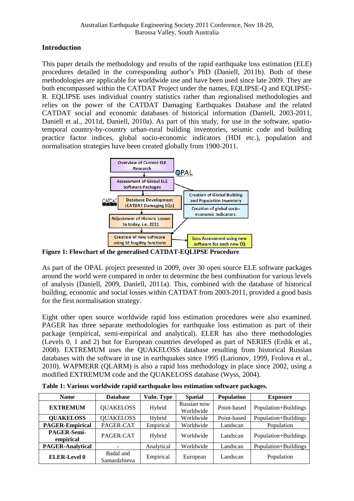# **Introduction**

This paper details the methodology and results of the rapid earthquake loss estimation (ELE) procedures detailed in the corresponding author's PhD (Daniell, 2011b). Both of these methodologies are applicable for worldwide use and have been used since late 2009. They are both encompassed within the CATDAT Project under the names, EQLIPSE-Q and EQLIPSE-R. EQLIPSE uses individual country statistics rather than regionalised methodologies and relies on the power of the CATDAT Damaging Earthquakes Database and the related CATDAT social and economic databases of historical information (Daniell, 2003-2011, Daniell et al., 2011d, Daniell, 2010a). As part of this study, for use in the software, spatiotemporal country-by-country urban-rural building inventories, seismic code and building practice factor indices, global socio-economic indicators (HDI etc.), population and normalisation strategies have been created globally from 1900-2011.



**Figure 1: Flowchart of the generalised CATDAT-EQLIPSE Procedure** 

As part of the OPAL project presented in 2009, over 30 open source ELE software packages around the world were compared in order to determine the best combination for various levels of analysis (Daniell, 2009, Daniell, 2011a). This, combined with the database of historical building, economic and social losses within CATDAT from 2003-2011, provided a good basis for the first normalisation strategy.

Eight other open source worldwide rapid loss estimation procedures were also examined. PAGER has three separate methodologies for earthquake loss estimation as part of their package (empirical, semi-empirical and analytical). ELER has also three methodologies (Levels 0, 1 and 2) but for European countries developed as part of NERIES (Erdik et al., 2008). EXTREMUM uses the QUAKELOSS database resulting from historical Russian databases with the software in use in earthquakes since 1995 (Larionov, 1999, Frolova et al., 2010). WAPMERR (QLARM) is also a rapid loss methodology in place since 2002, using a modified EXTREMUM code and the QUAKELOSS database (Wyss, 2004).

| <b>Name</b>              | <b>Database</b>           | <b>Vuln. Type</b> | <b>Spatial</b>           | <b>Population</b> | <b>Exposure</b>      |
|--------------------------|---------------------------|-------------------|--------------------------|-------------------|----------------------|
| <b>EXTREMUM</b>          | <b>QUAKELOSS</b>          | Hybrid            | Russian now<br>Worldwide | Point-based       | Population+Buildings |
| <b>QUAKELOSS</b>         | <b>QUAKELOSS</b>          | Hybrid            | Worldwide<br>Point-based |                   | Population+Buildings |
| <b>PAGER-Empirical</b>   | PAGER-CAT                 | Empirical         | Worldwide                | Landscan          | Population           |
| PAGER-Semi-<br>empirical | PAGER-CAT                 | Hybrid            | Worldwide                | Landscan          | Population+Buildings |
| <b>PAGER-Analytical</b>  |                           | Analytical        | Worldwide                | Landscan          | Population+Buildings |
| <b>ELER-Level 0</b>      | Badal and<br>Samardzhieva | Empirical         | European                 | Landscan          | Population           |

**Table 1: Various worldwide rapid earthquake loss estimation software packages.**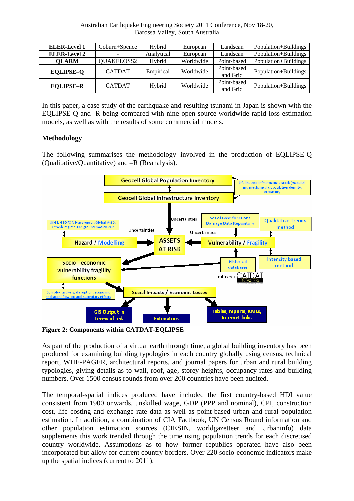| <b>ELER-Level 1</b> | Coburn+Spence | Hybrid     | European  | Landscan                | Population+Buildings |
|---------------------|---------------|------------|-----------|-------------------------|----------------------|
| <b>ELER-Level 2</b> |               | Analytical | European  | Landscan                | Population+Buildings |
| <b>OLARM</b>        | QUAKELOSS2    | Hybrid     | Worldwide | Point-based             | Population+Buildings |
| <b>EQLIPSE-Q</b>    | <b>CATDAT</b> | Empirical  | Worldwide | Point-based<br>and Grid | Population+Buildings |
| <b>EQLIPSE-R</b>    | <b>CATDAT</b> | Hybrid     | Worldwide | Point-based<br>and Grid | Population+Buildings |

In this paper, a case study of the earthquake and resulting tsunami in Japan is shown with the EQLIPSE-Q and -R being compared with nine open source worldwide rapid loss estimation models, as well as with the results of some commercial models.

### **Methodology**

The following summarises the methodology involved in the production of EQLIPSE-Q (Qualitative/Quantitative) and –R (Reanalysis).



**Figure 2: Components within CATDAT-EQLIPSE** 

As part of the production of a virtual earth through time, a global building inventory has been produced for examining building typologies in each country globally using census, technical report, WHE-PAGER, architectural reports, and journal papers for urban and rural building typologies, giving details as to wall, roof, age, storey heights, occupancy rates and building numbers. Over 1500 census rounds from over 200 countries have been audited.

The temporal-spatial indices produced have included the first country-based HDI value consistent from 1900 onwards, unskilled wage, GDP (PPP and nominal), CPI, construction cost, life costing and exchange rate data as well as point-based urban and rural population estimation. In addition, a combination of CIA Factbook, UN Census Round information and other population estimation sources (CIESIN, worldgazetteer and Urbaninfo) data supplements this work trended through the time using population trends for each discretised country worldwide. Assumptions as to how former republics operated have also been incorporated but allow for current country borders. Over 220 socio-economic indicators make up the spatial indices (current to 2011).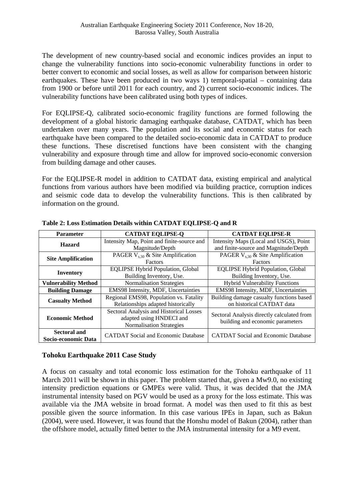The development of new country-based social and economic indices provides an input to change the vulnerability functions into socio-economic vulnerability functions in order to better convert to economic and social losses, as well as allow for comparison between historic earthquakes. These have been produced in two ways 1) temporal-spatial – containing data from 1900 or before until 2011 for each country, and 2) current socio-economic indices. The vulnerability functions have been calibrated using both types of indices.

For EQLIPSE-Q, calibrated socio-economic fragility functions are formed following the development of a global historic damaging earthquake database, CATDAT, which has been undertaken over many years. The population and its social and economic status for each earthquake have been compared to the detailed socio-economic data in CATDAT to produce these functions. These discretised functions have been consistent with the changing vulnerability and exposure through time and allow for improved socio-economic conversion from building damage and other causes.

For the EQLIPSE-R model in addition to CATDAT data, existing empirical and analytical functions from various authors have been modified via building practice, corruption indices and seismic code data to develop the vulnerability functions. This is then calibrated by information on the ground.

| <b>Parameter</b>                                                  | <b>CATDAT EQLIPSE-Q</b>                    | <b>CATDAT EQLIPSE-R</b>                    |  |
|-------------------------------------------------------------------|--------------------------------------------|--------------------------------------------|--|
| <b>Hazard</b>                                                     | Intensity Map, Point and finite-source and | Intensity Maps (Local and USGS), Point     |  |
|                                                                   | Magnitude/Depth                            | and finite-source and Magnitude/Depth      |  |
|                                                                   | PAGER $V_{s,30}$ & Site Amplification      | PAGER $V_{s,30}$ & Site Amplification      |  |
| <b>Site Amplification</b>                                         | <b>Factors</b>                             | Factors                                    |  |
| <b>Inventory</b>                                                  | <b>EQLIPSE Hybrid Population, Global</b>   | <b>EQLIPSE Hybrid Population, Global</b>   |  |
|                                                                   | Building Inventory, Use.                   | Building Inventory, Use.                   |  |
| <b>Vulnerability Method</b>                                       | <b>Normalisation Strategies</b>            | <b>Hybrid Vulnerability Functions</b>      |  |
| <b>Building Damage</b>                                            | EMS98 Intensity, MDF, Uncertainties        | EMS98 Intensity, MDF, Uncertainties        |  |
| <b>Casualty Method</b>                                            | Regional EMS98, Population vs. Fatality    | Building damage casualty functions based   |  |
|                                                                   | Relationships adapted historically         | on historical CATDAT data                  |  |
|                                                                   | Sectoral Analysis and Historical Losses    | Sectoral Analysis directly calculated from |  |
| <b>Economic Method</b>                                            | adapted using HNDECI and                   | building and economic parameters           |  |
|                                                                   | <b>Normalisation Strategies</b>            |                                            |  |
| <b>Sectoral and</b><br><b>CATDAT Social and Economic Database</b> |                                            | <b>CATDAT Social and Economic Database</b> |  |
| Socio-economic Data                                               |                                            |                                            |  |

**Table 2: Loss Estimation Details within CATDAT EQLIPSE-Q and R** 

# **Tohoku Earthquake 2011 Case Study**

A focus on casualty and total economic loss estimation for the Tohoku earthquake of 11 March 2011 will be shown in this paper. The problem started that, given a Mw9.0, no existing intensity prediction equations or GMPEs were valid. Thus, it was decided that the JMA instrumental intensity based on PGV would be used as a proxy for the loss estimate. This was available via the JMA website in broad format. A model was then used to fit this as best possible given the source information. In this case various IPEs in Japan, such as Bakun (2004), were used. However, it was found that the Honshu model of Bakun (2004), rather than the offshore model, actually fitted better to the JMA instrumental intensity for a M9 event.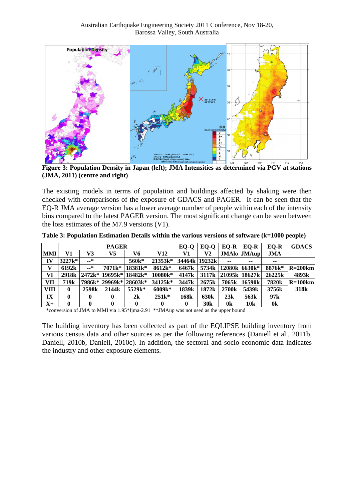

**Figure 3: Population Density in Japan (left); JMA Intensities as determined via PGV at stations (JMA, 2011) (centre and right)**

The existing models in terms of population and buildings affected by shaking were then checked with comparisons of the exposure of GDACS and PAGER. It can be seen that the EQ-R JMA average version has a lower average number of people within each of the intensity bins compared to the latest PAGER version. The most significant change can be seen between the loss estimates of the M7.9 versions (V1).

|               | <b>PAGER</b>      |                   |                     |                        | EO-O     | $E$ O-O           | EQ-R              | EO-R              | EO-R             | <b>GDACS</b>   |                  |
|---------------|-------------------|-------------------|---------------------|------------------------|----------|-------------------|-------------------|-------------------|------------------|----------------|------------------|
| <b>MMI</b>    | V1                | V3                | V5                  | V6                     | V12      | V1                | V2                |                   | JMAlo JMAup      | JMA            |                  |
| IV            | $3227k*$          | —*                |                     | 560k*                  | 21353k*  |                   | 34464k 19232k     | $-$               | --               | $- -$          |                  |
| V             | 6192k             | —*                | 7071 <sub>k</sub> * | 18381 <sub>k</sub> *   | 8612k*   | 6467 <sub>k</sub> | 5734k             |                   | 12080k 6630k*    | 8876k*         | $R = 200$ km     |
| VI            | 2918 <sub>k</sub> |                   |                     | 2472k* 19695k* 18482k* | 10080k*  | 4147 <sub>k</sub> | 3117 <sub>k</sub> |                   | 21095k 18627k    | 26225k         | 4893k            |
| VII           | 719k              |                   | 7986k* 29969k*      | $28603k*$              | 34125k*  | 3447 <sub>k</sub> | 2675k             | 7065k             | 16590k           | 7820k          | $R = 100$ km     |
| VIII          | 0                 | 2598 <sub>k</sub> | 2144 <sub>k</sub>   | 5529k*                 | $6009k*$ | 1839k             | 1872k             | 2700 <sub>k</sub> | 5439k            | 3756k          | 318 <sub>k</sub> |
| $\mathbf{IX}$ | 0                 | 0                 | 0                   | 2k                     | $251k*$  | 168k              | <b>630k</b>       | 23k               | 563 <sub>k</sub> | 97k            |                  |
| $X+$          | 0                 | 0                 | 0                   | 0                      | 0        | 0                 | 30 <sub>k</sub>   | 0k                | 10 <sub>k</sub>  | 0 <sup>k</sup> |                  |

**Table 3: Population Estimation Details within the various versions of software (k=1000 people)** 

\*conversion of JMA to MMI via 1.95\*Ijma-2.91 \*\*JMAup was not used as the upper bound

The building inventory has been collected as part of the EQLIPSE building inventory from various census data and other sources as per the following references (Daniell et al., 2011b, Daniell, 2010b, Daniell, 2010c). In addition, the sectoral and socio-economic data indicates the industry and other exposure elements.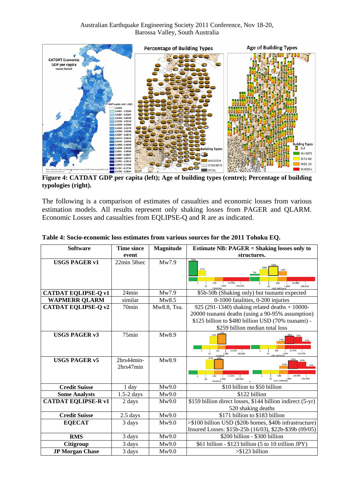

**Figure 4: CATDAT GDP per capita (left); Age of building types (centre); Percentage of building typologies (right).**

The following is a comparison of estimates of casualties and economic losses from various estimation models. All results represent only shaking losses from PAGER and QLARM. Economic Losses and casualties from EQLIPSE-Q and R are as indicated.

| <b>Software</b>            | <b>Time since</b>       | Magnitude   | <b>Estimate NB: PAGER = Shaking losses only to</b>                                                                                                                                            |
|----------------------------|-------------------------|-------------|-----------------------------------------------------------------------------------------------------------------------------------------------------------------------------------------------|
|                            | event                   |             | structures.                                                                                                                                                                                   |
| <b>USGS PAGER v1</b>       | 22min 58sec             | Mw7.9       | 72%<br>27%<br>19%<br>7%<br>10,000<br>100<br>100<br>10,000<br>1,000<br>100,000<br>1,000<br>USD (Millions)<br>100,000<br>10<br>10                                                               |
| <b>CATDAT EQLIPSE-Q v1</b> | 24min                   | Mw7.9       | \$5b-50b (Shaking only) but tsunami expected                                                                                                                                                  |
| <b>WAPMERR QLARM</b>       | similar                 | Mw8.5       | 0-1000 fatalities, 0-200 injuries                                                                                                                                                             |
| <b>CATDAT EQLIPSE-Q v2</b> | 70min                   | Mw8.8, Tsu. | 925 (291-1340) shaking related deaths $+$ 10000-<br>20000 tsunami deaths (using a 90-95% assumption)<br>\$125 billion to \$480 billion USD (70% tsunami) -<br>\$259 billion median total loss |
| <b>USGS PAGER v3</b>       | $75$ min                | Mw8.9       | 42<br>35%<br>10,000<br>10.000<br>100<br>100<br>100,000<br>100,000<br>1,000<br>1,000<br>10<br>10                                                                                               |
| <b>USGS PAGER v5</b>       | 2hrs44min-<br>2hrs47min | Mw8.9       | 47%<br>48%<br>34%<br>15%<br>10%<br>10,000<br>100<br>10.000<br>100<br>1,000<br>USD (Millions)<br>100,000<br>100,000<br>1,000<br>10<br>Fatalities                                               |
| <b>Credit Suisse</b>       | 1 day                   | Mw9.0       | \$10 billion to \$50 billion                                                                                                                                                                  |
| <b>Some Analysts</b>       | $1.5-2$ days            | Mw9.0       | \$122 billion                                                                                                                                                                                 |
| <b>CATDAT EQLIPSE-R v1</b> | 2 days                  | Mw9.0       | \$159 billion direct losses, \$144 billion indirect (5-yr)<br>520 shaking deaths                                                                                                              |
| <b>Credit Suisse</b>       | 2.5 days                | Mw9.0       | \$171 billion to \$183 billion                                                                                                                                                                |
| <b>EQECAT</b>              | 3 days                  | Mw9.0       | >\$100 billion USD (\$20b homes, \$40b infrastructure)<br>Insured Losses: \$15b-25b (16/03), \$22b-\$39b (09/05)                                                                              |
| <b>RMS</b>                 | 3 days                  | Mw9.0       | \$200 billion - \$300 billion                                                                                                                                                                 |
| <b>Citigroup</b>           | 3 days                  | Mw9.0       | \$61 billion - \$123 billion (5 to 10 trillion JPY)                                                                                                                                           |
| <b>JP Morgan Chase</b>     | 3 days                  | Mw9.0       | $> $123$ billion                                                                                                                                                                              |

#### **Table 4: Socio-economic loss estimates from various sources for the 2011 Tohoku EQ.**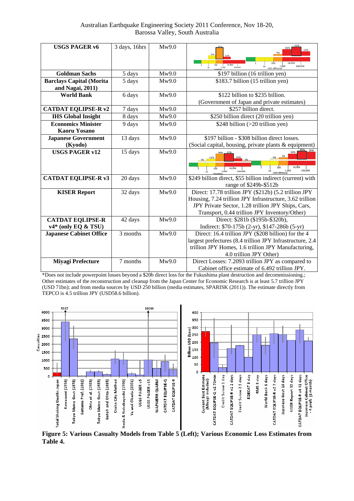| <b>USGS PAGER v6</b>                                | 3 days, 16hrs | Mw9.0 | 41%<br>10.000<br>1,000<br>USD (Millions)<br>100,000<br>10<br>100,000                                                                                                                                                     |
|-----------------------------------------------------|---------------|-------|--------------------------------------------------------------------------------------------------------------------------------------------------------------------------------------------------------------------------|
| <b>Goldman Sachs</b>                                | 5 days        | Mw9.0 | \$197 billion (16 trillion yen)                                                                                                                                                                                          |
| <b>Barclays Capital (Morita</b><br>and Nagai, 2011) | 5 days        | Mw9.0 | \$183.7 billion (15 trillion yen)                                                                                                                                                                                        |
| <b>World Bank</b>                                   | 6 days        | Mw9.0 | \$122 billion to \$235 billion.<br>(Government of Japan and private estimates)                                                                                                                                           |
| <b>CATDAT EQLIPSE-R v2</b>                          | 7 days        | Mw9.0 | \$257 billion direct.                                                                                                                                                                                                    |
| <b>IHS Global Insight</b>                           | 8 days        | Mw9.0 | \$250 billion direct (20 trillion yen)                                                                                                                                                                                   |
| <b>Economics Minister</b><br><b>Kaoru Yosano</b>    | 9 days        | Mw9.0 | \$248 billion (>20 trillion yen)                                                                                                                                                                                         |
| <b>Japanese Government</b>                          | 13 days       | Mw9.0 | \$197 billion - \$308 billion direct losses.                                                                                                                                                                             |
| (Kyodo)                                             |               |       | (Social capital, housing, private plants & equipment)                                                                                                                                                                    |
| <b>USGS PAGER v12</b>                               | 15 days       | Mw9.0 | 10.000<br>10.000<br>100,000<br>1,000<br>1,000<br>100,000                                                                                                                                                                 |
| <b>CATDAT EQLIPSE-R v3</b>                          | 20 days       | Mw9.0 | \$249 billion direct, \$55 billion indirect (current) with<br>range of \$249b-\$512b                                                                                                                                     |
| <b>KISER Report</b>                                 | 32 days       | Mw9.0 | Direct: 17.78 trillion JPY (\$212b) (5.2 trillion JPY<br>Housing, 7.24 trillion JPY Infrastructure, 3.62 trillion<br>JPY Private Sector, 1.28 trillion JPY Ships, Cars,<br>Transport, 0.44 trillion JPY Inventory/Other) |
| <b>CATDAT EQLIPSE-R</b><br>$v4*$ (only EQ & TSU)    | 42 days       | Mw9.0 | Direct: \$281b (\$195b-\$320b),<br>Indirect: \$70-175b (2-yr), \$147-286b (5-yr)                                                                                                                                         |
| <b>Japanese Cabinet Office</b>                      | 3 months      | Mw9.0 | Direct: 16.4 trillion JPY (\$208 billion) for the 4<br>largest prefectures (8.4 trillion JPY Infrastructure, 2.4<br>trillion JPY Homes, 1.6 trillion JPY Manufacturing,<br>4.0 trillion JPY Other)                       |
| <b>Miyagi Prefecture</b>                            | 7 months      | Mw9.0 | Direct Losses: 7.2093 trillion JPY as compared to<br>Cabinet office estimate of 6.492 trillion JPY.                                                                                                                      |

\*Does not include powerpoint losses beyond a \$20b direct loss for the Fukushima plant destruction and decommissioning.; Other estimates of the reconstruction and cleanup from the Japan Center for Economic Research is at least 5.7 trillion JPY (USD 71bn); and from media sources by USD 250 billion (media estimates, SPARISK (2011)). The estimate directly from TEPCO is 4.5 trillion JPY (USD58.6 billion).



**Figure 5: Various Casualty Models from Table 5 (Left); Various Economic Loss Estimates from Table 4.**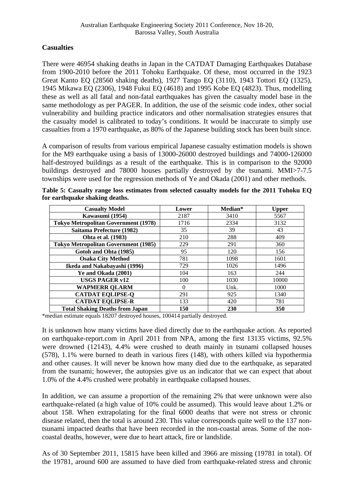# **Casualties**

There were 46954 shaking deaths in Japan in the CATDAT Damaging Earthquakes Database from 1900-2010 before the 2011 Tohoku Earthquake. Of these, most occurred in the 1923 Great Kanto EQ (28560 shaking deaths), 1927 Tango EQ (3110), 1943 Tottori EQ (1325), 1945 Mikawa EQ (2306), 1948 Fukui EQ (4618) and 1995 Kobe EQ (4823). Thus, modelling these as well as all fatal and non-fatal earthquakes has given the casualty model base in the same methodology as per PAGER. In addition, the use of the seismic code index, other social vulnerability and building practice indicators and other normalisation strategies ensures that the casualty model is calibrated to today's conditions. It would be inaccurate to simply use casualties from a 1970 earthquake, as 80% of the Japanese building stock has been built since.

A comparison of results from various empirical Japanese casualty estimation models is shown for the M9 earthquake using a basis of 13000-26000 destroyed buildings and 74000-126000 half-destroyed buildings as a result of the earthquake. This is in comparison to the 92000 buildings destroyed and 78000 houses partially destroyed by the tsunami. MMI>7-7.5 townships were used for the regression methods of Ye and Okada (2001) and other methods.

| <b>Casualty Model</b>                       | Lower | Median* | <b>Upper</b> |
|---------------------------------------------|-------|---------|--------------|
| Kawasumi (1954)                             | 2187  | 3410    | 5567         |
| <b>Tokyo Metropolitan Government (1978)</b> | 1716  | 2334    | 3132         |
| Saitama Prefecture (1982)                   | 35    | 39      | 43           |
| Ohta et al. (1983)                          | 210   | 288     | 409          |
| <b>Tokyo Metropolitan Government (1985)</b> | 229   | 291     | 360          |
| Gotoh and Ohta (1985)                       | 95    | 120     | 156          |
| <b>Osaka City Method</b>                    | 781   | 1098    | 1601         |
| Ikeda and Nakabayashi (1996)                | 729   | 1026    | 1496         |
| Ye and Okada (2001)                         | 104   | 163     | 244          |
| <b>USGS PAGER v12</b>                       | 100   | 1030    | 10000        |
| <b>WAPMERR QLARM</b>                        | 0     | Unk.    | 1000         |
| <b>CATDAT EQLIPSE-Q</b>                     | 291   | 925     | 1340         |
| <b>CATDAT EQLIPSE-R</b>                     | 133   | 420     | 781          |
| <b>Total Shaking Deaths from Japan</b>      | 150   | 230     | 350          |

**Table 5: Casualty range loss estimates from selected casualty models for the 2011 Tohoku EQ for earthquake shaking deaths.** 

\*median estimate equals 18207 destroyed houses, 100414 partially destroyed.

It is unknown how many victims have died directly due to the earthquake action. As reported on earthquake-report.com in April 2011 from NPA, among the first 13135 victims, 92.5% were drowned (12143), 4.4% were crushed to death mainly in tsunami collapsed houses (578), 1.1% were burned to death in various fires (148), with others killed via hypothermia and other causes. It will never be known how many died due to the earthquake, as separated from the tsunami; however, the autopsies give us an indicator that we can expect that about 1.0% of the 4.4% crushed were probably in earthquake collapsed houses.

In addition, we can assume a proportion of the remaining 2% that were unknown were also earthquake-related (a high value of 10% could be assumed). This would leave about 1.2% or about 158. When extrapolating for the final 6000 deaths that were not stress or chronic disease related, then the total is around 230. This value corresponds quite well to the 137 nontsunami impacted deaths that have been recorded in the non-coastal areas. Some of the noncoastal deaths, however, were due to heart attack, fire or landslide.

As of 30 September 2011, 15815 have been killed and 3966 are missing (19781 in total). Of the 19781, around 600 are assumed to have died from earthquake-related stress and chronic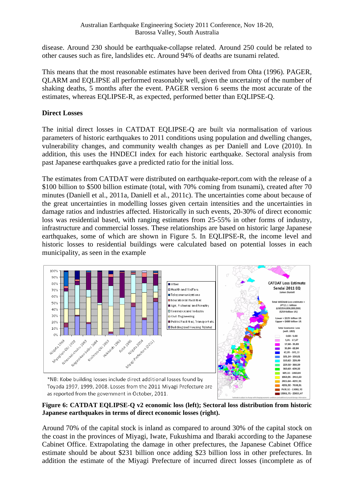disease. Around 230 should be earthquake-collapse related. Around 250 could be related to other causes such as fire, landslides etc. Around 94% of deaths are tsunami related.

This means that the most reasonable estimates have been derived from Ohta (1996). PAGER, QLARM and EQLIPSE all performed reasonably well, given the uncertainty of the number of shaking deaths, 5 months after the event. PAGER version 6 seems the most accurate of the estimates, whereas EQLIPSE-R, as expected, performed better than EQLIPSE-Q.

#### **Direct Losses**

The initial direct losses in CATDAT EQLIPSE-Q are built via normalisation of various parameters of historic earthquakes to 2011 conditions using population and dwelling changes, vulnerability changes, and community wealth changes as per Daniell and Love (2010). In addition, this uses the HNDECI index for each historic earthquake. Sectoral analysis from past Japanese earthquakes gave a predicted ratio for the initial loss.

The estimates from CATDAT were distributed on earthquake-report.com with the release of a \$100 billion to \$500 billion estimate (total, with 70% coming from tsunami), created after 70 minutes (Daniell et al., 2011a, Daniell et al., 2011c). The uncertainties come about because of the great uncertainties in modelling losses given certain intensities and the uncertainties in damage ratios and industries affected. Historically in such events, 20-30% of direct economic loss was residential based, with ranging estimates from 25-55% in other forms of industry, infrastructure and commercial losses. These relationships are based on historic large Japanese earthquakes, some of which are shown in Figure 5. In EQLIPSE-R, the income level and historic losses to residential buildings were calculated based on potential losses in each municipality, as seen in the example



Toyada 1997, 1999, 2008. Losses from the 2011 Miyagi Prefecture are as reported from the government in October, 2011.

**Figure 6: CATDAT EQLIPSE-Q v2 economic loss (left); Sectoral loss distribution from historic Japanese earthquakes in terms of direct economic losses (right).** 

7638,32 - 13061,70

13061,71 - 23833,47

Around 70% of the capital stock is inland as compared to around 30% of the capital stock on the coast in the provinces of Miyagi, Iwate, Fukushima and Ibaraki according to the Japanese Cabinet Office. Extrapolating the damage in other prefectures, the Japanese Cabinet Office estimate should be about \$231 billion once adding \$23 billion loss in other prefectures. In addition the estimate of the Miyagi Prefecture of incurred direct losses (incomplete as of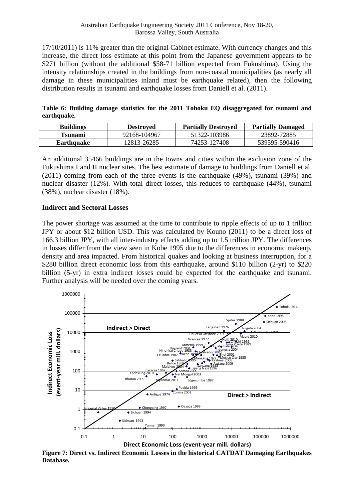17/10/2011) is 11% greater than the original Cabinet estimate. With currency changes and this increase, the direct loss estimate at this point from the Japanese government appears to be \$271 billion (without the additional \$58-71 billion expected from Fukushima). Using the intensity relationships created in the buildings from non-coastal municipalities (as nearly all damage in these municipalities inland must be earthquake related), then the following distribution results in tsunami and earthquake losses from Daniell et al. (2011).

**Table 6: Building damage statistics for the 2011 Tohoku EQ disaggregated for tsunami and earthquake.** 

| <b>Buildings</b> | <b>Destroyed</b> | <b>Partially Destroyed</b> | <b>Partially Damaged</b> |
|------------------|------------------|----------------------------|--------------------------|
| Tsunami          | 92168-104967     | 51322-103986               | 23892-72885              |
| Earthquake       | 12813-26285      | 74253-127408               | 539595-590416            |

An additional 35466 buildings are in the towns and cities within the exclusion zone of the Fukushima I and II nuclear sites. The best estimate of damage to buildings from Daniell et al. (2011) coming from each of the three events is the earthquake (49%), tsunami (39%) and nuclear disaster (12%). With total direct losses, this reduces to earthquake (44%), tsunami (38%), nuclear disaster (18%).

#### **Indirect and Sectoral Losses**

The power shortage was assumed at the time to contribute to ripple effects of up to 1 trillion JPY or about \$12 billion USD. This was calculated by Kouno (2011) to be a direct loss of 166.3 billion JPY, with all inter-industry effects adding up to 1.5 trillion JPY. The differences in losses differ from the view seen in Kobe 1995 due to the differences in economic makeup, density and area impacted. From historical quakes and looking at business interruption, for a \$280 billion direct economic loss from this earthquake, around \$110 billion (2-yr) to \$220 billion (5-yr) in extra indirect losses could be expected for the earthquake and tsunami. Further analysis will be needed over the coming years.



**Figure 7: Direct vs. Indirect Economic Losses in the historical CATDAT Damaging Earthquakes Database.**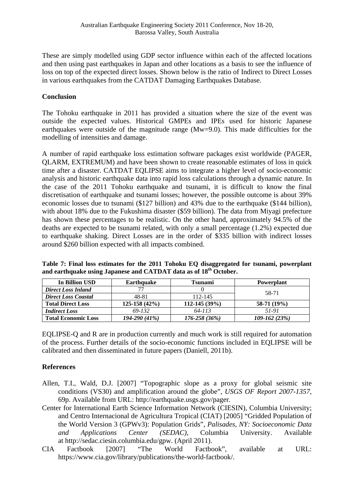These are simply modelled using GDP sector influence within each of the affected locations and then using past earthquakes in Japan and other locations as a basis to see the influence of loss on top of the expected direct losses. Shown below is the ratio of Indirect to Direct Losses in various earthquakes from the CATDAT Damaging Earthquakes Database.

#### **Conclusion**

The Tohoku earthquake in 2011 has provided a situation where the size of the event was outside the expected values. Historical GMPEs and IPEs used for historic Japanese earthquakes were outside of the magnitude range (Mw=9.0). This made difficulties for the modelling of intensities and damage.

A number of rapid earthquake loss estimation software packages exist worldwide (PAGER, QLARM, EXTREMUM) and have been shown to create reasonable estimates of loss in quick time after a disaster. CATDAT EQLIPSE aims to integrate a higher level of socio-economic analysis and historic earthquake data into rapid loss calculations through a dynamic nature. In the case of the 2011 Tohoku earthquake and tsunami, it is difficult to know the final discretisation of earthquake and tsunami losses; however, the possible outcome is about 39% economic losses due to tsunami (\$127 billion) and 43% due to the earthquake (\$144 billion), with about 18% due to the Fukushima disaster (\$59 billion). The data from Miyagi prefecture has shown these percentages to be realistic. On the other hand, approximately 94.5% of the deaths are expected to be tsunami related, with only a small percentage (1.2%) expected due to earthquake shaking. Direct Losses are in the order of \$335 billion with indirect losses around \$260 billion expected with all impacts combined.

**Table 7: Final loss estimates for the 2011 Tohoku EQ disaggregated for tsunami, powerplant and earthquake using Japanese and CATDAT data as of 18th October.** 

| In Billion USD             | <b>Earthquake</b> | <b>Tsunami</b>   | <b>Powerplant</b> |
|----------------------------|-------------------|------------------|-------------------|
| <b>Direct Loss Inland</b>  |                   |                  | 58-71             |
| <b>Direct Loss Coastal</b> | 48-81             | 112-145          |                   |
| <b>Total Direct Loss</b>   | $125-158(42%)$    | 112-145 (39%)    | 58-71 (19%)       |
| <b>Indirect Loss</b>       | 69-132            | 64-113           | 51-91             |
| <b>Total Economic Loss</b> | $194 - 290(41%)$  | $176 - 258(36%)$ | $109 - 162(23%)$  |

EQLIPSE-Q and R are in production currently and much work is still required for automation of the process. Further details of the socio-economic functions included in EQLIPSE will be calibrated and then disseminated in future papers (Daniell, 2011b).

# **References**

- Allen, T.I., Wald, D.J. [2007] "Topographic slope as a proxy for global seismic site conditions (VS30) and amplification around the globe", *USGS OF Report 2007-1357*, 69p. Available from URL: http://earthquake.usgs.gov/pager.
- Center for International Earth Science Information Network (CIESIN), Columbia University; and Centro Internacional de Agricultura Tropical (CIAT) [2005] "Gridded Population of the World Version 3 (GPWv3): Population Grids", *Palisades, NY: Socioeconomic Data and Applications Center (SEDAC)*, Columbia University. Available at [http://sedac.ciesin.columbia.edu/gpw.](http://sedac.ciesin.columbia.edu/gpw) (April 2011).
- CIA Factbook [2007] "The World Factbook", available at URL: [https://www.cia.gov/library/publications/the-world-factbook/.](https://www.cia.gov/library/publications/the-world-factbook/)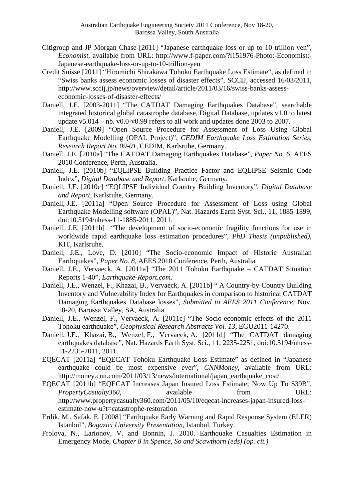- Citigroup and JP Morgan Chase [2011] "Japanese earthquake loss or up to 10 trillion yen", *Economist,* available from URL: http://www.f-paper.com/?i151976-Photo:-Economist:- Japanese-earthquake-loss-or-up-to-10-trillion-yen
- Credit Suisse [2011] "Hiromichi Shirakawa Tohoku Earthquake Loss Estimate", as defined in "Swiss banks assess economic losses of disaster effects", SCCIJ, accessed 16/03/2011, [http://www.sccij.jp/news/overview/detail/article/2011/03/16/swiss-banks-assess](http://www.sccij.jp/news/overview/detail/article/2011/03/16/swiss-banks-assess-economic-losses-of-disaster-effects/)[economic-losses-of-disaster-effects/](http://www.sccij.jp/news/overview/detail/article/2011/03/16/swiss-banks-assess-economic-losses-of-disaster-effects/)
- Daniell, J.E. [2003-2011] "The CATDAT Damaging Earthquakes Database", searchable integrated historical global catastrophe database, Digital Database, updates v1.0 to latest update v5.014 – nb. v0.0-v0.99 refers to all work and updates done 2003 to 2007.
- Daniell, J.E. [2009] "Open Source Procedure for Assessment of Loss Using Global Earthquake Modelling (OPAL Project)", *CEDIM Earthquake Loss Estimation Series, Research Report No. 09-01,* CEDIM, Karlsruhe, Germany.
- Daniell, J.E. [2010a] "The CATDAT Damaging Earthquakes Database", *Paper No. 6,* AEES 2010 Conference, Perth, Australia.
- Daniell, J.E. [2010b] "EQLIPSE Building Practice Factor and EQLIPSE Seismic Code Index", *Digital Database and Report,* Karlsruhe, Germany.
- Daniell, J.E. [2010c] "EQLIPSE Individual Country Building Inventory", *Digital Database and Report,* Karlsruhe, Germany.
- Daniell, J.E. [2011a] "Open Source Procedure for Assessment of Loss using Global Earthquake Modelling software (OPAL)", Nat. Hazards Earth Syst. Sci., 11, 1885-1899, doi:10.5194/nhess-11-1885-2011, 2011.
- Daniell, J.E. [2011b] "The development of socio-economic fragility functions for use in worldwide rapid earthquake loss estimation procedures", *PhD Thesis (unpublished)*, KIT, Karlsruhe.
- Daniell, J.E., Love, D. [2010] "The Socio-economic Impact of Historic Australian Earthquakes"*, Paper No. 8,* AEES 2010 Conference, Perth, Australia*.*
- Daniell, J.E., Vervaeck, A. [2011a] "The 2011 Tohoku Earthquake CATDAT Situation Reports 1-40", *Earthquake-Report.com*.
- Daniell, J.E., Wenzel, F., Khazai, B., Vervaeck, A. [2011b] " A Country-by-Country Building Inventory and Vulnerability Index for Earthquakes in comparison to historical CATDAT Damaging Earthquakes Database losses", *Submitted to AEES 2011 Conference*, Nov. 18-20, Barossa Valley, SA, Australia.
- Daniell, J.E., Wenzel, F., Vervaeck, A. [2011c] "The Socio-economic effects of the 2011 Tohoku earthquake", *Geophysical Research Abstracts Vol. 13*, EGU2011-14270.
- Daniell, J.E., Khazai, B., Wenzel, F., Vervaeck, A. [2011d] "The CATDAT damaging earthquakes database", Nat. Hazards Earth Syst. Sci., 11, 2235-2251, doi:10.5194/nhess-11-2235-2011, 2011.
- EQECAT [2011a] "EQECAT Tohoku Earthquake Loss Estimate" as defined in "Japanese earthquake could be most expensive ever", *CNNMoney*, available from URL: [http://money.cnn.com/2011/03/13/news/international/japan\\_earthquake\\_cost/](http://money.cnn.com/2011/03/13/news/international/japan_earthquake_cost/)
- EQECAT [2011b] "EQECAT Increases Japan Insured Loss Estimate; Now Up To \$39B", *PropertyCasualty360*, available from URL: [http://www.propertycasualty360.com/2011/05/10/eqecat-increases-japan-insured-loss](http://www.propertycasualty360.com/2011/05/10/eqecat-increases-japan-insured-loss-estimate-now-u?t=catastrophe-restoration)[estimate-now-u?t=catastrophe-restoration](http://www.propertycasualty360.com/2011/05/10/eqecat-increases-japan-insured-loss-estimate-now-u?t=catastrophe-restoration)
- Erdik, M., Safak, E. [2008] "Earthquake Early Warning and Rapid Response System (ELER) Istanbul", *Bogazici University Presentation*, Istanbul, Turkey.
- Frolova, N., Larionov, V. and Bonnin, J. 2010. Earthquake Casualties Estimation in Emergency Mode, *Chapter 8 in Spence, So and Scawthorn (eds) (op. cit.)*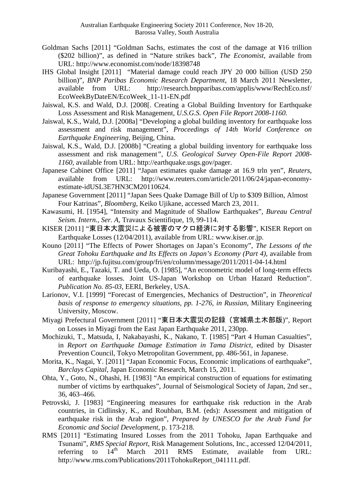- Goldman Sachs [2011] "Goldman Sachs, estimates the cost of the damage at ¥16 trillion (\$202 billion)", as defined in "Nature strikes back", *The Economist*, available from URL: http://www.economist.com/node/18398748
- IHS Global Insight [2011] "Material damage could reach JPY 20 000 billion (USD 250 billion)", *BNP Paribas Economic Research Department*, 18 March 2011 Newsletter, available from URL: <http://research.bnpparibas.com/applis/www/RechEco.nsf/> EcoWeekByDateEN/EcoWeek\_11-11-EN.pdf
- Jaiswal, K.S. and Wald, D.J. [2008]. Creating a Global Building Inventory for Earthquake Loss Assessment and Risk Management, *U.S.G.S. Open File Report 2008-1160.*
- Jaiswal, K.S., Wald, D.J. [2008a] "Developing a global building inventory for earthquake loss assessment and risk management", *Proceedings of 14th World Conference on Earthquake Engineering*, Beijing, China.
- Jaiswal, K.S., Wald, D.J. [2008b] "Creating a global building inventory for earthquake loss assessment and risk management*", U.S. Geological Survey Open-File Report 2008- 1160*, available from URL: http://earthquake.usgs.gov/pager.
- Japanese Cabinet Office [2011] "Japan estimates quake damage at 16.9 trln yen", *Reuters*, available from URL: http://www.reuters.com/article/2011/06/24/japan-economyestimate-idUSL3E7HN3CM20110624.
- Japanese Government [2011] "Japan Sees Quake Damage Bill of Up to \$309 Billion, Almost Four Katrinas", *Bloomberg*, Keiko Ujikane, accessed March 23, 2011.
- Kawasumi, H. [1954], "Intensity and Magnitude of Shallow Earthquakes", *Bureau Central Seism. Intern., Ser. A,* Travaux Scientifique, 19, 99-114.
- KISER [2011] "東日本大震災による被害のマクロ経済に対する影響", KISER Report on Earthquake Losses (12/04/2011), available from URL: [www.kiser.or.jp.](http://www.kiser.or.jp/)
- Kouno [2011] "The Effects of Power Shortages on Japan's Economy", *The Lessons of the Great Tohoku Earthquake and Its Effects on Japan's Economy (Part 4)*, available from URL: http://jp.fujitsu.com/group/fri/en/column/message/2011/2011-04-14.html
- Kuribayashi, E., Tazaki, T. and Ueda, O. [1985], "An econometric model of long-term effects of earthquake losses. Joint US-Japan Workshop on Urban Hazard Reduction". *Publication No. 85-03*, EERI, Berkeley, USA.
- Larionov, V.I. [1999] "Forecast of Emergencies, Mechanics of Destruction", in *Theoretical basis of response to emergency situations, pp. 1-276, in Russian*, Military Engineering University, Moscow.
- Miyagi Prefectural Government [2011] "東日本大震災の記録(宮城県土木部版)", Report on Losses in Miyagi from the East Japan Earthquake 2011, 230pp.
- Mochizuki, T., Matsuda, I, Nakabayashi, K., Nakano, T. [1985] "Part 4 Human Casualties", in *Report on Earthquake Damage Estimation in Tama District*, edited by Disaster Prevention Council, Tokyo Metropolitan Government, pp. 486-561, in Japanese.
- Morita, K., Nagai, Y. [2011] "Japan Economic Focus, Economic implications of earthquake", *Barclays Capital*, Japan Economic Research, March 15, 2011.
- Ohta, Y., Goto, N., Ohashi, H. [1983] "An empirical construction of equations for estimating number of victims by earthquakes", Journal of Seismological Society of Japan, 2nd ser., 36, 463–466.
- Petrovski, J. [1983] "Engineering measures for earthquake risk reduction in the Arab countries, in Cidlinsky, K., and Rouhban, B.M. (eds): Assessment and mitigation of earthquake risk in the Arab region", *Prepared by UNESCO for the Arab Fund for Economic and Social Development*, p. 173-218.
- RMS [2011] "Estimating Insured Losses from the 2011 Tohoku, Japan Earthquake and Tsunami", *RMS Special Report*, Risk Management Solutions, Inc., accessed 12/04/2011, referring to  $14<sup>th</sup>$  March 2011 RMS Estimate, available from URL: http://www.rms.com/Publications/2011TohokuReport\_041111.pdf.